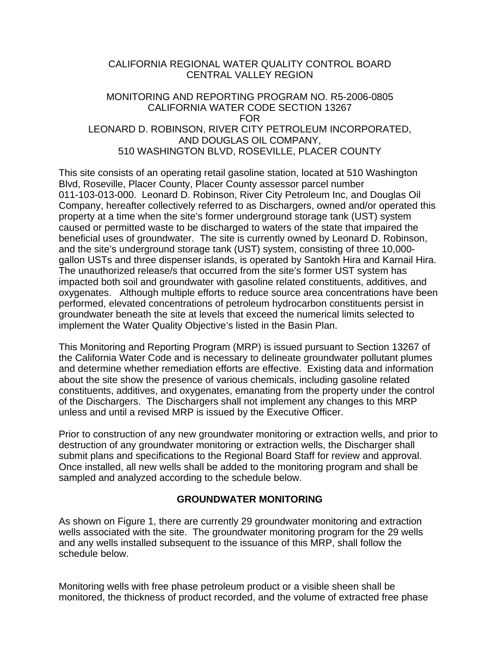### CALIFORNIA REGIONAL WATER QUALITY CONTROL BOARD CENTRAL VALLEY REGION

### MONITORING AND REPORTING PROGRAM NO. R5-2006-0805 CALIFORNIA WATER CODE SECTION 13267 FOR LEONARD D. ROBINSON, RIVER CITY PETROLEUM INCORPORATED, AND DOUGLAS OIL COMPANY, 510 WASHINGTON BLVD, ROSEVILLE, PLACER COUNTY

This site consists of an operating retail gasoline station, located at 510 Washington Blvd, Roseville, Placer County, Placer County assessor parcel number 011-103-013-000. Leonard D. Robinson, River City Petroleum Inc, and Douglas Oil Company, hereafter collectively referred to as Dischargers, owned and/or operated this property at a time when the site's former underground storage tank (UST) system caused or permitted waste to be discharged to waters of the state that impaired the beneficial uses of groundwater. The site is currently owned by Leonard D. Robinson, and the site's underground storage tank (UST) system, consisting of three 10,000 gallon USTs and three dispenser islands, is operated by Santokh Hira and Karnail Hira. The unauthorized release/s that occurred from the site's former UST system has impacted both soil and groundwater with gasoline related constituents, additives, and oxygenates. Although multiple efforts to reduce source area concentrations have been performed, elevated concentrations of petroleum hydrocarbon constituents persist in groundwater beneath the site at levels that exceed the numerical limits selected to implement the Water Quality Objective's listed in the Basin Plan.

This Monitoring and Reporting Program (MRP) is issued pursuant to Section 13267 of the California Water Code and is necessary to delineate groundwater pollutant plumes and determine whether remediation efforts are effective. Existing data and information about the site show the presence of various chemicals, including gasoline related constituents, additives, and oxygenates, emanating from the property under the control of the Dischargers. The Dischargers shall not implement any changes to this MRP unless and until a revised MRP is issued by the Executive Officer.

Prior to construction of any new groundwater monitoring or extraction wells, and prior to destruction of any groundwater monitoring or extraction wells, the Discharger shall submit plans and specifications to the Regional Board Staff for review and approval. Once installed, all new wells shall be added to the monitoring program and shall be sampled and analyzed according to the schedule below.

# **GROUNDWATER MONITORING**

As shown on Figure 1, there are currently 29 groundwater monitoring and extraction wells associated with the site. The groundwater monitoring program for the 29 wells and any wells installed subsequent to the issuance of this MRP, shall follow the schedule below.

Monitoring wells with free phase petroleum product or a visible sheen shall be monitored, the thickness of product recorded, and the volume of extracted free phase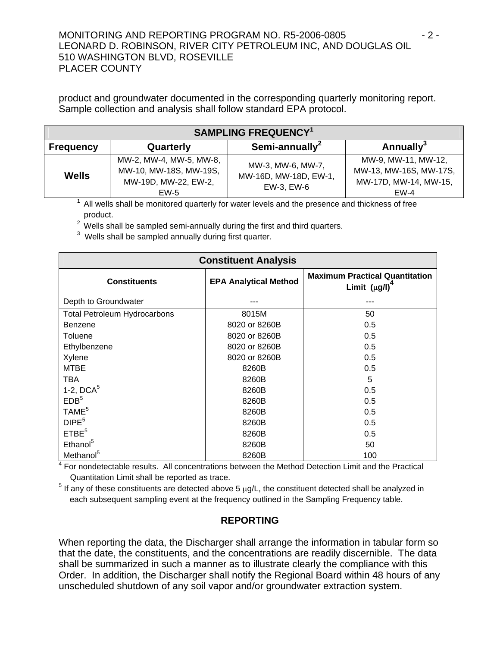### MONITORING AND REPORTING PROGRAM NO. R5-2006-0805  $\sim$  2 -LEONARD D. ROBINSON, RIVER CITY PETROLEUM INC, AND DOUGLAS OIL 510 WASHINGTON BLVD, ROSEVILLE PLACER COUNTY

product and groundwater documented in the corresponding quarterly monitoring report. Sample collection and analysis shall follow standard EPA protocol.

| <b>SAMPLING FREQUENCY1</b> |                                                                                   |                                                          |                                                                                  |  |
|----------------------------|-----------------------------------------------------------------------------------|----------------------------------------------------------|----------------------------------------------------------------------------------|--|
| <b>Frequency</b>           | Quarterly                                                                         | Semi-annually <sup>2</sup>                               | Annually $3$                                                                     |  |
| <b>Wells</b>               | MW-2, MW-4, MW-5, MW-8,<br>MW-10, MW-18S, MW-19S,<br>MW-19D, MW-22, EW-2,<br>EW-5 | MW-3, MW-6, MW-7,<br>MW-16D, MW-18D, EW-1,<br>EW-3, EW-6 | MW-9, MW-11, MW-12,<br>MW-13, MW-16S, MW-17S,<br>MW-17D, MW-14, MW-15,<br>$EW-4$ |  |

<sup>1</sup> All wells shall be monitored quarterly for water levels and the presence and thickness of free product.

2 Wells shall be sampled semi-annually during the first and third quarters.

 $3$  Wells shall be sampled annually during first quarter.

| <b>Constituent Analysis</b>         |                              |                                                              |  |  |
|-------------------------------------|------------------------------|--------------------------------------------------------------|--|--|
| <b>Constituents</b>                 | <b>EPA Analytical Method</b> | <b>Maximum Practical Quantitation</b><br>Limit $(\mu g/l)^4$ |  |  |
| Depth to Groundwater                |                              |                                                              |  |  |
| <b>Total Petroleum Hydrocarbons</b> | 8015M                        | 50                                                           |  |  |
| Benzene                             | 8020 or 8260B                | 0.5                                                          |  |  |
| Toluene                             | 8020 or 8260B                | 0.5                                                          |  |  |
| Ethylbenzene                        | 8020 or 8260B                | 0.5                                                          |  |  |
| Xylene                              | 8020 or 8260B                | 0.5                                                          |  |  |
| <b>MTBE</b>                         | 8260B                        | 0.5                                                          |  |  |
| <b>TBA</b>                          | 8260B                        | 5                                                            |  |  |
| 1-2, $DCA5$                         | 8260B                        | 0.5                                                          |  |  |
| EDB <sup>5</sup>                    | 8260B                        | 0.5                                                          |  |  |
| TAME <sup>5</sup>                   | 8260B                        | 0.5                                                          |  |  |
| DIPE <sup>5</sup>                   | 8260B                        | 0.5                                                          |  |  |
| ETBE <sup>5</sup>                   | 8260B                        | 0.5                                                          |  |  |
| Ethanol <sup>5</sup>                | 8260B                        | 50                                                           |  |  |
| Methanol <sup>5</sup>               | 8260B                        | 100                                                          |  |  |

<sup>4</sup> For nondetectable results. All concentrations between the Method Detection Limit and the Practical Quantitation Limit shall be reported as trace.

<sup>5</sup> If any of these constituents are detected above 5 μg/L, the constituent detected shall be analyzed in each subsequent sampling event at the frequency outlined in the Sampling Frequency table.

# **REPORTING**

When reporting the data, the Discharger shall arrange the information in tabular form so that the date, the constituents, and the concentrations are readily discernible. The data shall be summarized in such a manner as to illustrate clearly the compliance with this Order. In addition, the Discharger shall notify the Regional Board within 48 hours of any unscheduled shutdown of any soil vapor and/or groundwater extraction system.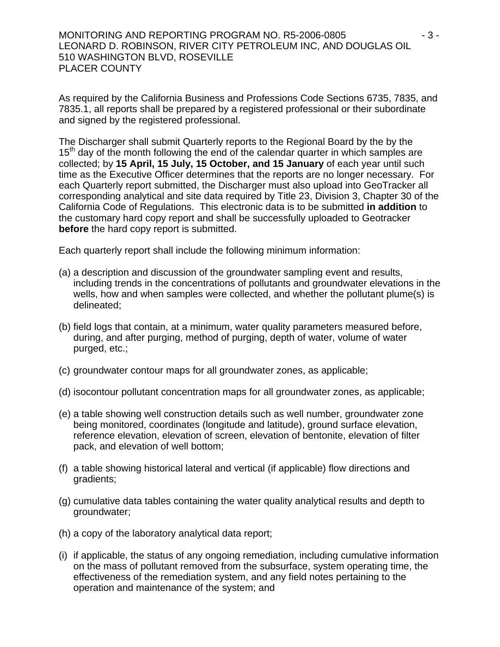MONITORING AND REPORTING PROGRAM NO. R5-2006-0805  $\cdot$  3 -LEONARD D. ROBINSON, RIVER CITY PETROLEUM INC, AND DOUGLAS OIL 510 WASHINGTON BLVD, ROSEVILLE PLACER COUNTY

As required by the California Business and Professions Code Sections 6735, 7835, and 7835.1, all reports shall be prepared by a registered professional or their subordinate and signed by the registered professional.

The Discharger shall submit Quarterly reports to the Regional Board by the by the  $15<sup>th</sup>$  day of the month following the end of the calendar quarter in which samples are collected; by **15 April, 15 July, 15 October, and 15 January** of each year until such time as the Executive Officer determines that the reports are no longer necessary. For each Quarterly report submitted, the Discharger must also upload into GeoTracker all corresponding analytical and site data required by Title 23, Division 3, Chapter 30 of the California Code of Regulations. This electronic data is to be submitted **in addition** to the customary hard copy report and shall be successfully uploaded to Geotracker **before** the hard copy report is submitted.

Each quarterly report shall include the following minimum information:

- (a) a description and discussion of the groundwater sampling event and results, including trends in the concentrations of pollutants and groundwater elevations in the wells, how and when samples were collected, and whether the pollutant plume(s) is delineated;
- (b) field logs that contain, at a minimum, water quality parameters measured before, during, and after purging, method of purging, depth of water, volume of water purged, etc.;
- (c) groundwater contour maps for all groundwater zones, as applicable;
- (d) isocontour pollutant concentration maps for all groundwater zones, as applicable;
- (e) a table showing well construction details such as well number, groundwater zone being monitored, coordinates (longitude and latitude), ground surface elevation, reference elevation, elevation of screen, elevation of bentonite, elevation of filter pack, and elevation of well bottom;
- (f) a table showing historical lateral and vertical (if applicable) flow directions and gradients;
- (g) cumulative data tables containing the water quality analytical results and depth to groundwater;
- (h) a copy of the laboratory analytical data report;
- (i) if applicable, the status of any ongoing remediation, including cumulative information on the mass of pollutant removed from the subsurface, system operating time, the effectiveness of the remediation system, and any field notes pertaining to the operation and maintenance of the system; and